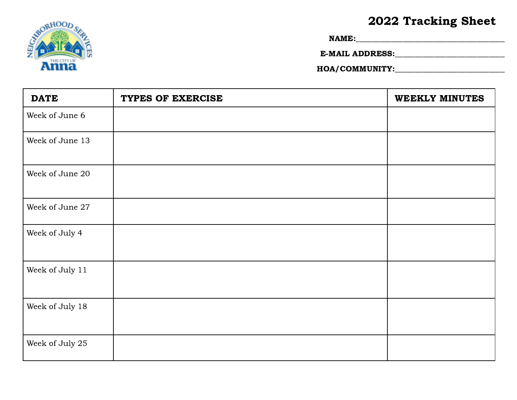## 2022 Tracking Sheet

NAME:\_\_\_\_\_\_\_\_\_\_\_\_\_\_\_\_\_\_\_\_\_\_\_\_\_\_\_\_\_\_\_\_\_\_\_\_\_\_

E-MAIL ADDRESS:\_\_\_\_\_\_\_\_\_\_\_\_\_\_\_\_\_\_\_\_\_\_\_\_\_\_\_\_

HOA/COMMUNITY:\_\_\_\_\_\_\_\_\_\_\_\_\_\_\_\_\_\_\_\_\_\_\_\_\_\_\_\_

| <b>DATE</b>     | TYPES OF EXERCISE | <b>WEEKLY MINUTES</b> |
|-----------------|-------------------|-----------------------|
| Week of June 6  |                   |                       |
| Week of June 13 |                   |                       |
| Week of June 20 |                   |                       |
| Week of June 27 |                   |                       |
| Week of July 4  |                   |                       |
| Week of July 11 |                   |                       |
| Week of July 18 |                   |                       |
| Week of July 25 |                   |                       |